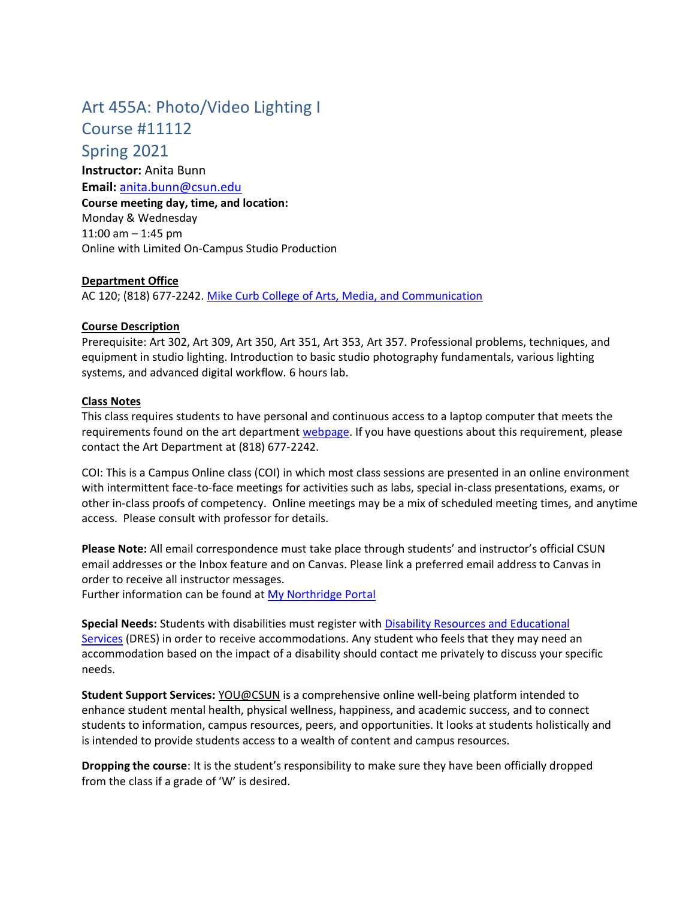# Art 455A: Photo/Video Lighting I

## Course #11112

Spring 2021

**Instructor:** Anita Bunn **Email:** [anita.bunn@csun.edu](mailto:anita.bunn@csun.edu) **Course meeting day, time, and location:**  Monday & Wednesday 11:00 am – 1:45 pm Online with Limited On-Campus Studio Production

## **Department Office**

AC 120; (818) 677-2242. [Mike Curb College of Arts, Media, and Communication](https://www.csun.edu/mike-curb-arts-media-communication)

### **Course Description**

Prerequisite: Art 302, Art 309, Art 350, Art 351, Art 353, Art 357. Professional problems, techniques, and equipment in studio lighting. Introduction to basic studio photography fundamentals, various lighting systems, and advanced digital workflow. 6 hours lab.

### **Class Notes**

This class requires students to have personal and continuous access to a laptop computer that meets the requirements found on the art department [webpage.](https://www.csun.edu/mike-curb-arts-media-communication/art/laptop) If you have questions about this requirement, please contact the Art Department at (818) 677-2242.

COI: This is a Campus Online class (COI) in which most class sessions are presented in an online environment with intermittent face-to-face meetings for activities such as labs, special in-class presentations, exams, or other in-class proofs of competency. Online meetings may be a mix of scheduled meeting times, and anytime access. Please consult with professor for details.

**Please Note:** All email correspondence must take place through students' and instructor's official CSUN email addresses or the Inbox feature and on Canvas. Please link a preferred email address to Canvas in order to receive all instructor messages.

Further information can be found at [My Northridge Portal](http://www.csun.edu/)

**Special Needs:** Students with disabilities must register with [Disability Resources and Educational](https://www.csun.edu/dres)  [Services](https://www.csun.edu/dres) (DRES) in order to receive accommodations. Any student who feels that they may need an accommodation based on the impact of a disability should contact me privately to discuss your specific needs.

**Student Support Services:** [YOU@CSUN](https://you.csun.edu/) is a comprehensive online well-being platform intended to enhance student mental health, physical wellness, happiness, and academic success, and to connect students to information, campus resources, peers, and opportunities. It looks at students holistically and is intended to provide students access to a wealth of content and campus resources.

**Dropping the course**: It is the student's responsibility to make sure they have been officially dropped from the class if a grade of 'W' is desired.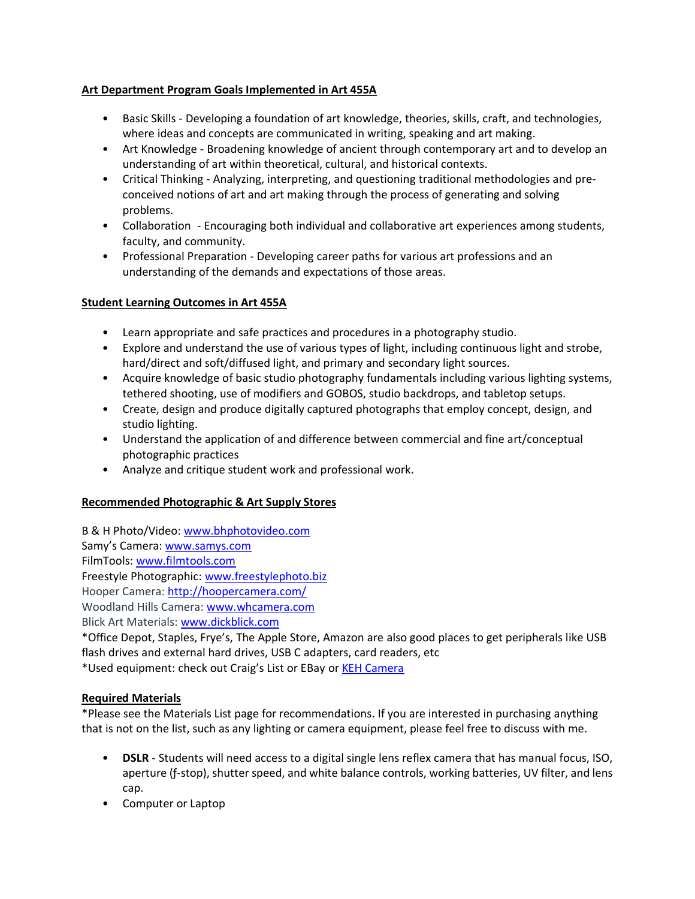## **Art Department Program Goals Implemented in Art 455A**

- Basic Skills Developing a foundation of art knowledge, theories, skills, craft, and technologies, where ideas and concepts are communicated in writing, speaking and art making.
- Art Knowledge Broadening knowledge of ancient through contemporary art and to develop an understanding of art within theoretical, cultural, and historical contexts.
- Critical Thinking Analyzing, interpreting, and questioning traditional methodologies and preconceived notions of art and art making through the process of generating and solving problems.
- Collaboration Encouraging both individual and collaborative art experiences among students, faculty, and community.
- Professional Preparation Developing career paths for various art professions and an understanding of the demands and expectations of those areas.

### **Student Learning Outcomes in Art 455A**

- Learn appropriate and safe practices and procedures in a photography studio.
- Explore and understand the use of various types of light, including continuous light and strobe, hard/direct and soft/diffused light, and primary and secondary light sources.
- Acquire knowledge of basic studio photography fundamentals including various lighting systems, tethered shooting, use of modifiers and GOBOS, studio backdrops, and tabletop setups.
- Create, design and produce digitally captured photographs that employ concept, design, and studio lighting.
- Understand the application of and difference between commercial and fine art/conceptual photographic practices
- Analyze and critique student work and professional work.

## **Recommended Photographic & Art Supply Stores**

B & H Photo/Video: [www.bhphotovideo.com](http://www.bhphotovideo.com/)

Samy's Camera: [www.samys.com](http://www.samys.com/)

FilmTools: [www.filmtools.com](http://www.filmtools.com/)

Freestyle Photographic: [www.freestylephoto.biz](http://www.freestylephoto.biz/)

Hooper Camera: <http://hoopercamera.com/>

Woodland Hills Camera: [www.whcamera.com](http://www.whcamera.com/)

Blick Art Materials: [www.dickblick.com](http://www.dickblick.com/)

\*Office Depot, Staples, Frye's, The Apple Store, Amazon are also good places to get peripherals like USB flash drives and external hard drives, USB C adapters, card readers, etc

\*Used equipment: check out Craig's List or EBay or [KEH Camera](https://www.keh.com/)

### **Required Materials**

\*Please see the Materials List page for recommendations. If you are interested in purchasing anything that is not on the list, such as any lighting or camera equipment, please feel free to discuss with me.

- **DSLR** Students will need access to a digital single lens reflex camera that has manual focus, ISO, aperture (ƒ-stop), shutter speed, and white balance controls, working batteries, UV filter, and lens cap.
- Computer or Laptop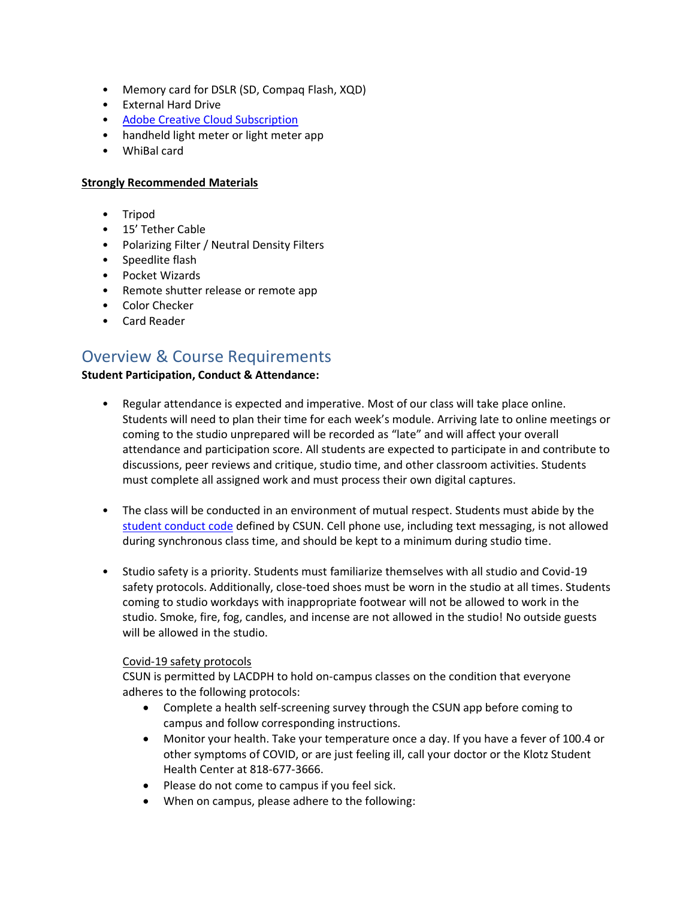- Memory card for DSLR (SD, Compaq Flash, XQD)
- External Hard Drive
- [Adobe Creative Cloud Subscription](https://www.csun.edu/it/adobe-creative-cloud-students)
- handheld light meter or light meter app
- WhiBal card

#### **Strongly Recommended Materials**

- Tripod
- 15' Tether Cable
- Polarizing Filter / Neutral Density Filters
- Speedlite flash
- Pocket Wizards
- Remote shutter release or remote app
- Color Checker
- Card Reader

## Overview & Course Requirements

### **Student Participation, Conduct & Attendance:**

- Regular attendance is expected and imperative. Most of our class will take place online. Students will need to plan their time for each week's module. Arriving late to online meetings or coming to the studio unprepared will be recorded as "late" and will affect your overall attendance and participation score. All students are expected to participate in and contribute to discussions, peer reviews and critique, studio time, and other classroom activities. Students must complete all assigned work and must process their own digital captures.
- The class will be conducted in an environment of mutual respect. Students must abide by the [student conduct code](https://catalog.csun.edu/policies/student-conduct-code/) defined by CSUN. Cell phone use, including text messaging, is not allowed during synchronous class time, and should be kept to a minimum during studio time.
- Studio safety is a priority. Students must familiarize themselves with all studio and Covid-19 safety protocols. Additionally, close-toed shoes must be worn in the studio at all times. Students coming to studio workdays with inappropriate footwear will not be allowed to work in the studio. Smoke, fire, fog, candles, and incense are not allowed in the studio! No outside guests will be allowed in the studio.

### Covid-19 safety protocols

CSUN is permitted by LACDPH to hold on-campus classes on the condition that everyone adheres to the following protocols:

- Complete a health self-screening survey through the CSUN app before coming to campus and follow corresponding instructions.
- Monitor your health. Take your temperature once a day. If you have a fever of 100.4 or other symptoms of COVID, or are just feeling ill, call your doctor or the Klotz Student Health Center at 818-677-3666.
- Please do not come to campus if you feel sick.
- When on campus, please adhere to the following: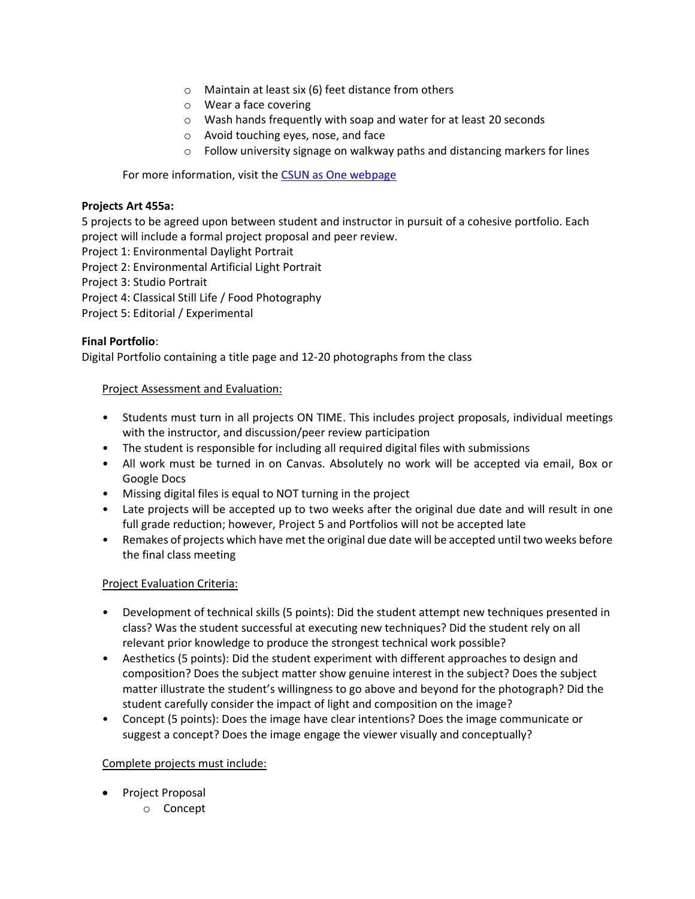- o Maintain at least six (6) feet distance from others
- o Wear a face covering
- o Wash hands frequently with soap and water for at least 20 seconds
- o Avoid touching eyes, nose, and face
- o Follow university signage on walkway paths and distancing markers for lines

For more information, visit the [CSUN as One webpage](http://csun.edu/csunasone)

## **Projects Art 455a:**

5 projects to be agreed upon between student and instructor in pursuit of a cohesive portfolio. Each project will include a formal project proposal and peer review.

- Project 1: Environmental Daylight Portrait
- Project 2: Environmental Artificial Light Portrait

Project 3: Studio Portrait

- Project 4: Classical Still Life / Food Photography
- Project 5: Editorial / Experimental

## **Final Portfolio**:

Digital Portfolio containing a title page and 12-20 photographs from the class

### Project Assessment and Evaluation:

- Students must turn in all projects ON TIME. This includes project proposals, individual meetings with the instructor, and discussion/peer review participation
- The student is responsible for including all required digital files with submissions
- All work must be turned in on Canvas. Absolutely no work will be accepted via email, Box or Google Docs
- Missing digital files is equal to NOT turning in the project
- Late projects will be accepted up to two weeks after the original due date and will result in one full grade reduction; however, Project 5 and Portfolios will not be accepted late
- Remakes of projects which have met the original due date will be accepted until two weeks before the final class meeting

## Project Evaluation Criteria:

- Development of technical skills (5 points): Did the student attempt new techniques presented in class? Was the student successful at executing new techniques? Did the student rely on all relevant prior knowledge to produce the strongest technical work possible?
- Aesthetics (5 points): Did the student experiment with different approaches to design and composition? Does the subject matter show genuine interest in the subject? Does the subject matter illustrate the student's willingness to go above and beyond for the photograph? Did the student carefully consider the impact of light and composition on the image?
- Concept (5 points): Does the image have clear intentions? Does the image communicate or suggest a concept? Does the image engage the viewer visually and conceptually?

## Complete projects must include:

- Project Proposal
	- o Concept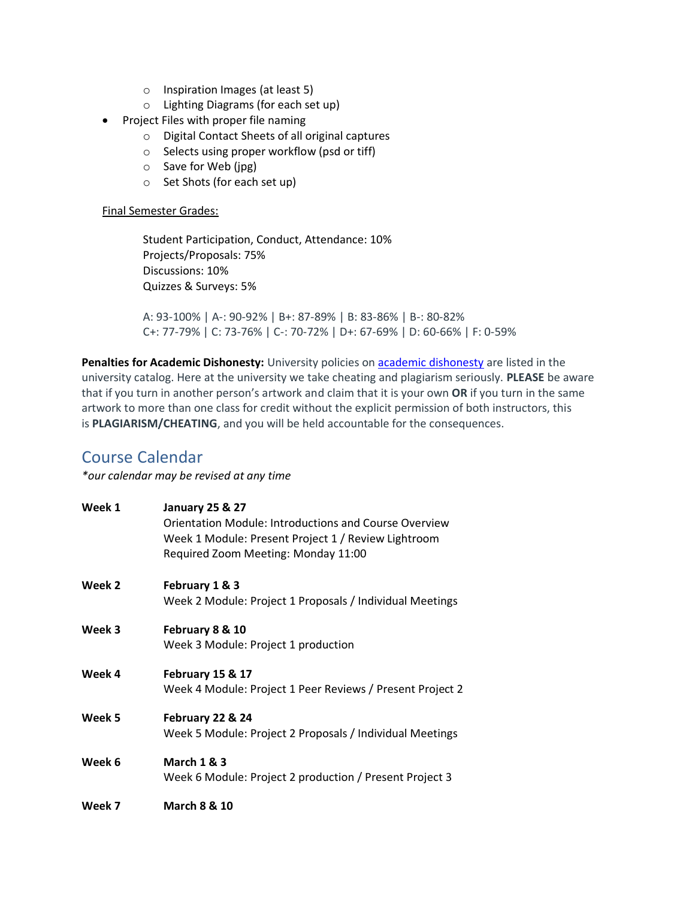- o Inspiration Images (at least 5)
- o Lighting Diagrams (for each set up)
- Project Files with proper file naming
	- o Digital Contact Sheets of all original captures
	- o Selects using proper workflow (psd or tiff)
	- o Save for Web (jpg)
	- o Set Shots (for each set up)

### Final Semester Grades:

Student Participation, Conduct, Attendance: 10% Projects/Proposals: 75% Discussions: 10% Quizzes & Surveys: 5%

A: 93-100% | A-: 90-92% | B+: 87-89% | B: 83-86% | B-: 80-82% C+: 77-79% | C: 73-76% | C-: 70-72% | D+: 67-69% | D: 60-66% | F: 0-59%

**Penalties for Academic Dishonesty:** University policies on [academic dishonesty](https://catalog.csun.edu/policies/academic-dishonesty/) are listed in the university catalog. Here at the university we take cheating and plagiarism seriously. **PLEASE** be aware that if you turn in another person's artwork and claim that it is your own **OR** if you turn in the same artwork to more than one class for credit without the explicit permission of both instructors, this is **PLAGIARISM/CHEATING**, and you will be held accountable for the consequences.

## Course Calendar

*\*our calendar may be revised at any time*

| Week 1 | <b>January 25 &amp; 27</b><br><b>Orientation Module: Introductions and Course Overview</b><br>Week 1 Module: Present Project 1 / Review Lightroom<br>Required Zoom Meeting: Monday 11:00 |
|--------|------------------------------------------------------------------------------------------------------------------------------------------------------------------------------------------|
| Week 2 | February 1 & 3<br>Week 2 Module: Project 1 Proposals / Individual Meetings                                                                                                               |
| Week 3 | February 8 & 10<br>Week 3 Module: Project 1 production                                                                                                                                   |
| Week 4 | February 15 & 17<br>Week 4 Module: Project 1 Peer Reviews / Present Project 2                                                                                                            |
| Week 5 | February 22 & 24<br>Week 5 Module: Project 2 Proposals / Individual Meetings                                                                                                             |
| Week 6 | <b>March 1 &amp; 3</b><br>Week 6 Module: Project 2 production / Present Project 3                                                                                                        |
| Week 7 | <b>March 8 &amp; 10</b>                                                                                                                                                                  |